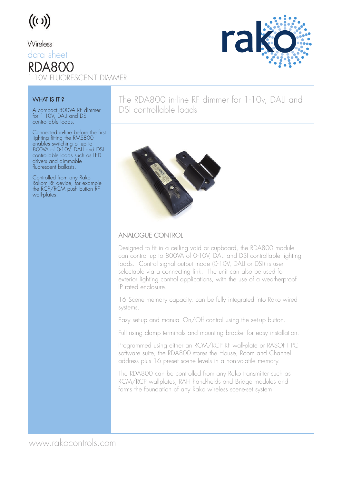# $((\iota))$

#### Wireless

data sheet RDA800

1-10V FLUORESCENT DIMMER

#### WHAT IS IT?

A compact 800VA RF dimmer for 1-10V, DALI and DSI controllable loads.

Connected in-line before the first lighting fitting the RMS800 enables switching of up to 800VA of 0-10V, DALI and DSI controllable loads such as LED drivers and dimmable fluorescent ballasts.

Controlled from any Rako Rakom RF device, for example the RCP/RCM push button RF wall-plates.

### The RDA800 in-line RF dimmer for 1-10v, DALI and DSI controllable loads



#### ANALOGUE CONTROL

Designed to fit in a ceiling void or cupboard, the RDA800 module can control up to 800VA of 0-10V, DALI and DSI controllable lighting loads. Control signal output mode (0-10V, DALI or DSI) is user selectable via a connecting link. The unit can also be used for exterior lighting control applications, with the use of a weatherproof IP rated enclosure.

16 Scene memory capacity, can be fully integrated into Rako wired systems.

Easy set-up and manual On/Off control using the set-up button.

Full rising clamp terminals and mounting bracket for easy installation.

Programmed using either an RCM/RCP RF wall-plate or RASOFT PC software suite, the RDA800 stores the House, Room and Channel address plus 16 preset scene levels in a non-volatile memory.

The RDA800 can be controlled from any Rako transmitter such as RCM/RCP wallplates, RAH hand-helds and Bridge modules and forms the foundation of any Rako wireless scene-set system.



www.rakocontrols.com